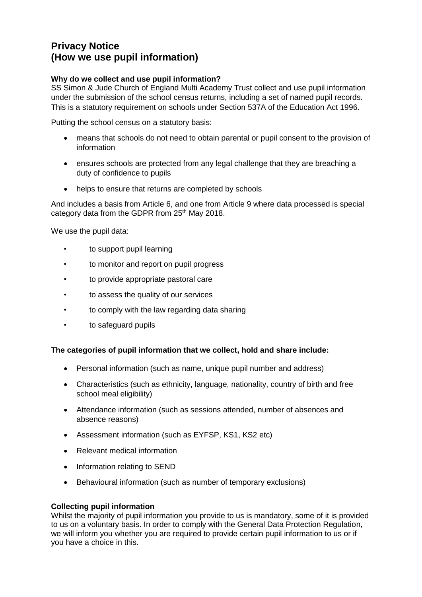# **Privacy Notice (How we use pupil information)**

## **Why do we collect and use pupil information?**

SS Simon & Jude Church of England Multi Academy Trust collect and use pupil information under the submission of the school census returns, including a set of named pupil records. This is a statutory requirement on schools under Section 537A of the Education Act 1996.

Putting the school census on a statutory basis:

- means that schools do not need to obtain parental or pupil consent to the provision of information
- ensures schools are protected from any legal challenge that they are breaching a duty of confidence to pupils
- helps to ensure that returns are completed by schools

And includes a basis from Article 6, and one from Article 9 where data processed is special category data from the GDPR from 25<sup>th</sup> May 2018.

We use the pupil data:

- to support pupil learning
- to monitor and report on pupil progress
- to provide appropriate pastoral care
- to assess the quality of our services
- to comply with the law regarding data sharing
- to safeguard pupils

## **The categories of pupil information that we collect, hold and share include:**

- Personal information (such as name, unique pupil number and address)
- Characteristics (such as ethnicity, language, nationality, country of birth and free school meal eligibility)
- Attendance information (such as sessions attended, number of absences and absence reasons)
- Assessment information (such as EYFSP, KS1, KS2 etc)
- Relevant medical information
- Information relating to SEND
- Behavioural information (such as number of temporary exclusions)

## **Collecting pupil information**

Whilst the majority of pupil information you provide to us is mandatory, some of it is provided to us on a voluntary basis. In order to comply with the General Data Protection Regulation, we will inform you whether you are required to provide certain pupil information to us or if you have a choice in this.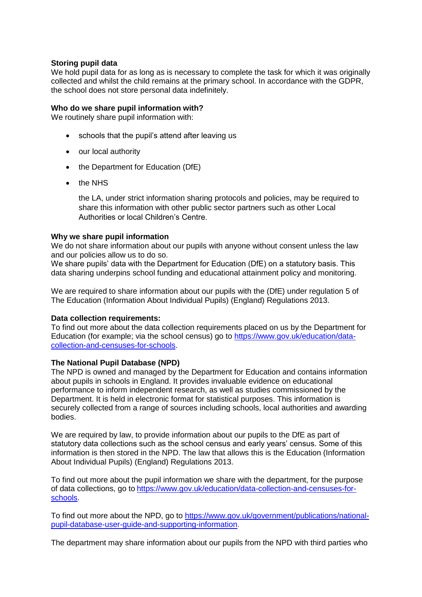### **Storing pupil data**

We hold pupil data for as long as is necessary to complete the task for which it was originally collected and whilst the child remains at the primary school. In accordance with the GDPR, the school does not store personal data indefinitely.

#### **Who do we share pupil information with?**

We routinely share pupil information with:

- schools that the pupil's attend after leaving us
- our local authority
- the Department for Education (DfE)
- the NHS

the LA, under strict information sharing protocols and policies, may be required to share this information with other public sector partners such as other Local Authorities or local Children's Centre.

#### **Why we share pupil information**

We do not share information about our pupils with anyone without consent unless the law and our policies allow us to do so.

We share pupils' data with the Department for Education (DfE) on a statutory basis. This data sharing underpins school funding and educational attainment policy and monitoring.

We are required to share information about our pupils with the (DfE) under regulation 5 of The Education (Information About Individual Pupils) (England) Regulations 2013.

#### **Data collection requirements:**

To find out more about the data collection requirements placed on us by the Department for Education (for example; via the school census) go to [https://www.gov.uk/education/data](https://www.gov.uk/education/data-collection-and-censuses-for-schools)[collection-and-censuses-for-schools.](https://www.gov.uk/education/data-collection-and-censuses-for-schools)

## **The National Pupil Database (NPD)**

The NPD is owned and managed by the Department for Education and contains information about pupils in schools in England. It provides invaluable evidence on educational performance to inform independent research, as well as studies commissioned by the Department. It is held in electronic format for statistical purposes. This information is securely collected from a range of sources including schools, local authorities and awarding bodies.

We are required by law, to provide information about our pupils to the DfE as part of statutory data collections such as the school census and early years' census. Some of this information is then stored in the NPD. The law that allows this is the Education (Information About Individual Pupils) (England) Regulations 2013.

To find out more about the pupil information we share with the department, for the purpose of data collections, go to [https://www.gov.uk/education/data-collection-and-censuses-for](https://www.gov.uk/education/data-collection-and-censuses-for-schools)[schools.](https://www.gov.uk/education/data-collection-and-censuses-for-schools)

To find out more about the NPD, go to [https://www.gov.uk/government/publications/national](https://www.gov.uk/government/publications/national-pupil-database-user-guide-and-supporting-information)[pupil-database-user-guide-and-supporting-information.](https://www.gov.uk/government/publications/national-pupil-database-user-guide-and-supporting-information)

The department may share information about our pupils from the NPD with third parties who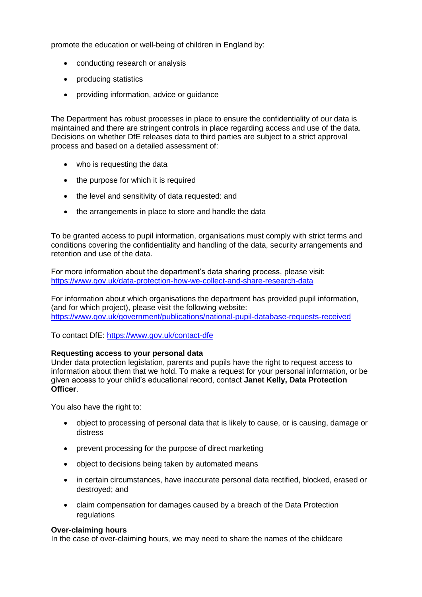promote the education or well-being of children in England by:

- conducting research or analysis
- producing statistics
- providing information, advice or guidance

The Department has robust processes in place to ensure the confidentiality of our data is maintained and there are stringent controls in place regarding access and use of the data. Decisions on whether DfE releases data to third parties are subject to a strict approval process and based on a detailed assessment of:

- who is requesting the data
- the purpose for which it is required
- the level and sensitivity of data requested: and
- the arrangements in place to store and handle the data

To be granted access to pupil information, organisations must comply with strict terms and conditions covering the confidentiality and handling of the data, security arrangements and retention and use of the data.

For more information about the department's data sharing process, please visit: <https://www.gov.uk/data-protection-how-we-collect-and-share-research-data>

For information about which organisations the department has provided pupil information, (and for which project), please visit the following website: <https://www.gov.uk/government/publications/national-pupil-database-requests-received>

To contact DfE:<https://www.gov.uk/contact-dfe>

#### **Requesting access to your personal data**

Under data protection legislation, parents and pupils have the right to request access to information about them that we hold. To make a request for your personal information, or be given access to your child's educational record, contact **Janet Kelly, Data Protection Officer**.

You also have the right to:

- object to processing of personal data that is likely to cause, or is causing, damage or distress
- prevent processing for the purpose of direct marketing
- object to decisions being taken by automated means
- in certain circumstances, have inaccurate personal data rectified, blocked, erased or destroyed; and
- claim compensation for damages caused by a breach of the Data Protection regulations

#### **Over-claiming hours**

In the case of over-claiming hours, we may need to share the names of the childcare